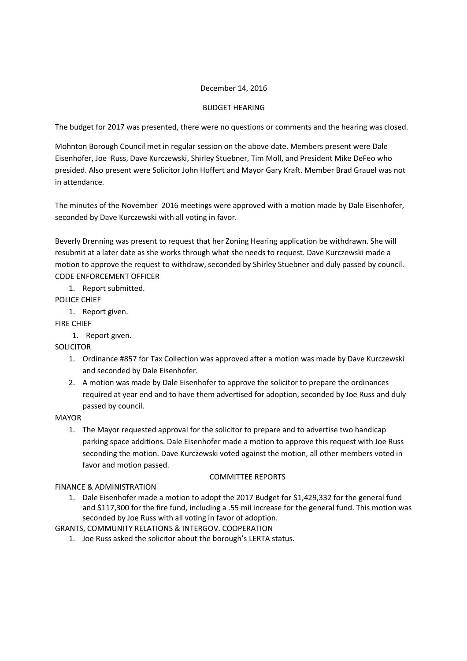## December 14, 2016

# BUDGET HEARING

The budget for 2017 was presented, there were no questions or comments and the hearing was closed.

Mohnton Borough Council met in regular session on the above date. Members present were Dale Eisenhofer, Joe Russ, Dave Kurczewski, Shirley Stuebner, Tim Moll, and President Mike DeFeo who presided. Also present were Solicitor John Hoffert and Mayor Gary Kraft. Member Brad Grauel was not in attendance.

The minutes of the November 2016 meetings were approved with a motion made by Dale Eisenhofer, seconded by Dave Kurczewski with all voting in favor.

Beverly Drenning was present to request that her Zoning Hearing application be withdrawn. She will resubmit at a later date as she works through what she needs to request. Dave Kurczewski made a motion to approve the request to withdraw, seconded by Shirley Stuebner and duly passed by council. CODE ENFORCEMENT OFFICER

1. Report submitted.

POLICE CHIEF

1. Report given.

FIRE CHIEF

1. Report given.

SOLICITOR

- 1. Ordinance #857 for Tax Collection was approved after a motion was made by Dave Kurczewski and seconded by Dale Eisenhofer.
- 2. A motion was made by Dale Eisenhofer to approve the solicitor to prepare the ordinances required at year end and to have them advertised for adoption, seconded by Joe Russ and duly passed by council.

### MAYOR

1. The Mayor requested approval for the solicitor to prepare and to advertise two handicap parking space additions. Dale Eisenhofer made a motion to approve this request with Joe Russ seconding the motion. Dave Kurczewski voted against the motion, all other members voted in favor and motion passed.

### COMMITTEE REPORTS

# FINANCE & ADMINISTRATION

1. Dale Eisenhofer made a motion to adopt the 2017 Budget for \$1,429,332 for the general fund and \$117,300 for the fire fund, including a .55 mil increase for the general fund. This motion was seconded by Joe Russ with all voting in favor of adoption.

GRANTS, COMMUNITY RELATIONS & INTERGOV. COOPERATION

1. Joe Russ asked the solicitor about the borough's LERTA status.